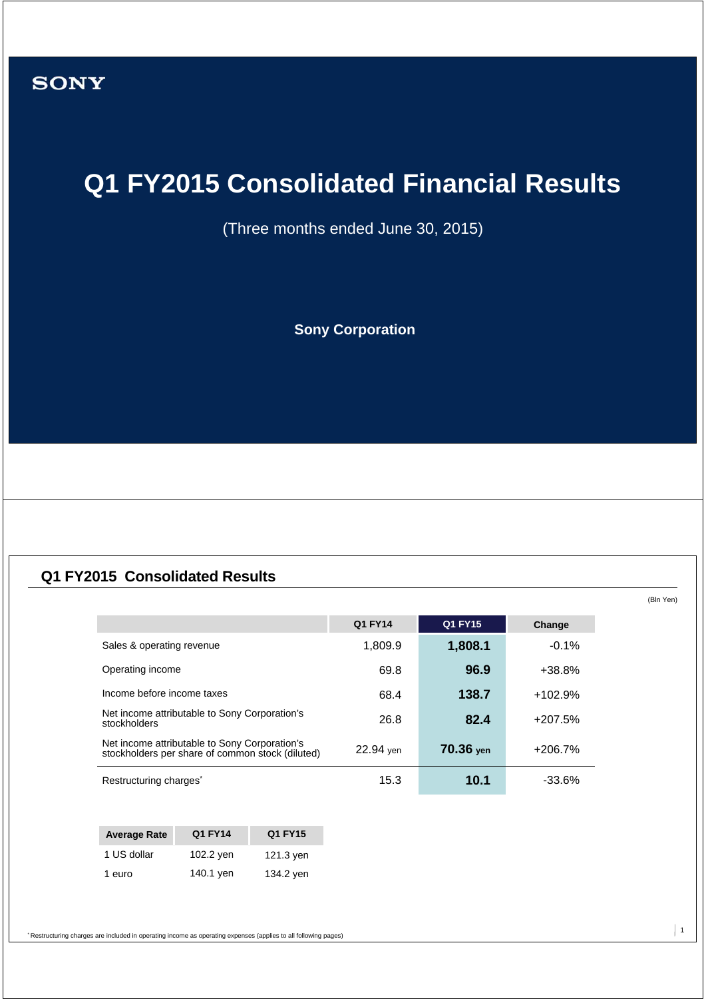# **Q1 FY2015 Consolidated Financial Results**

(Three months ended June 30, 2015)

**Sony Corporation**

## **Q1 FY2015 Consolidated Results**

|                                                                                                   | Q1 FY14   | <b>Q1 FY15</b> | Change    |
|---------------------------------------------------------------------------------------------------|-----------|----------------|-----------|
| Sales & operating revenue                                                                         | 1,809.9   | 1,808.1        | $-0.1%$   |
| Operating income                                                                                  | 69.8      | 96.9           | $+38.8%$  |
| Income before income taxes                                                                        | 68.4      | 138.7          | $+102.9%$ |
| Net income attributable to Sony Corporation's<br>stockholders                                     | 26.8      | 82.4           | $+207.5%$ |
| Net income attributable to Sony Corporation's<br>stockholders per share of common stock (diluted) | 22.94 yen | 70.36 yen      | +206.7%   |
| Restructuring charges <sup>®</sup>                                                                | 15.3      | 10.1           | $-33.6%$  |

| <b>Average Rate</b> | Q1 FY14   | Q1 FY15   |
|---------------------|-----------|-----------|
| 1 US dollar         | 102.2 yen | 121.3 yen |
| 1 euro              | 140.1 yen | 134.2 yen |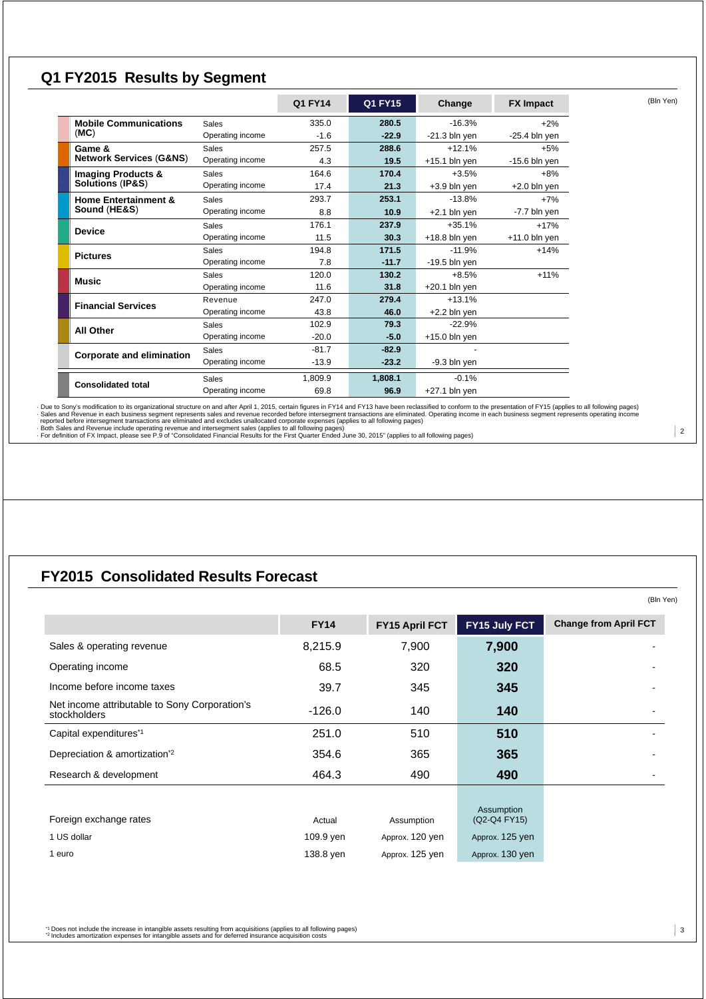### **Q1 FY2015 Results by Segment**

|                                    |                  | Q1 FY14 | Q1 FY15 | Change          | <b>FX Impact</b> | (Bln Yen) |
|------------------------------------|------------------|---------|---------|-----------------|------------------|-----------|
| <b>Mobile Communications</b>       | Sales            | 335.0   | 280.5   | $-16.3%$        | $+2%$            |           |
| (MC)                               | Operating income | $-1.6$  | $-22.9$ | $-21.3$ bln yen | $-25.4$ bln yen  |           |
| Game &                             | <b>Sales</b>     | 257.5   | 288.6   | $+12.1%$        | $+5%$            |           |
| <b>Network Services (G&amp;NS)</b> | Operating income | 4.3     | 19.5    | $+15.1$ bln yen | $-15.6$ bln yen  |           |
| <b>Imaging Products &amp;</b>      | <b>Sales</b>     | 164.6   | 170.4   | $+3.5%$         | $+8%$            |           |
| <b>Solutions (IP&amp;S)</b>        | Operating income | 17.4    | 21.3    | $+3.9$ bln yen  | $+2.0$ bln yen   |           |
| <b>Home Entertainment &amp;</b>    | <b>Sales</b>     | 293.7   | 253.1   | $-13.8%$        | $+7%$            |           |
| Sound (HE&S)                       | Operating income | 8.8     | 10.9    | $+2.1$ bln yen  | -7.7 bln yen     |           |
| <b>Device</b>                      | <b>Sales</b>     | 176.1   | 237.9   | $+35.1%$        | $+17%$           |           |
|                                    | Operating income | 11.5    | 30.3    | $+18.8$ bln yen | $+11.0$ bln yen  |           |
| <b>Pictures</b>                    | <b>Sales</b>     | 194.8   | 171.5   | $-11.9%$        | $+14%$           |           |
|                                    | Operating income | 7.8     | $-11.7$ | $-19.5$ bln yen |                  |           |
| Music                              | <b>Sales</b>     | 120.0   | 130.2   | $+8.5%$         | $+11%$           |           |
|                                    | Operating income | 11.6    | 31.8    | $+20.1$ bln yen |                  |           |
| <b>Financial Services</b>          | Revenue          | 247.0   | 279.4   | $+13.1%$        |                  |           |
|                                    | Operating income | 43.8    | 46.0    | $+2.2$ bln yen  |                  |           |
| <b>All Other</b>                   | <b>Sales</b>     | 102.9   | 79.3    | $-22.9%$        |                  |           |
|                                    | Operating income | $-20.0$ | $-5.0$  | $+15.0$ bln yen |                  |           |
| <b>Corporate and elimination</b>   | <b>Sales</b>     | $-81.7$ | $-82.9$ |                 |                  |           |
|                                    | Operating income | $-13.9$ | $-23.2$ | -9.3 bln yen    |                  |           |
| <b>Consolidated total</b>          | Sales            | 1.809.9 | 1.808.1 | $-0.1%$         |                  |           |
|                                    | Operating income | 69.8    | 96.9    | $+27.1$ bln yen |                  |           |

- Due to Sony's modification to its organizational structure on and after April 1, 2015, certain figures in PY14 fand FY14 fand Bolloming bages)<br>- Sales and Revenue in each business segment represents sales and revenue rec

# **FY2015 Consolidated Results Forecast**

|                                                               | <b>FY14</b> | FY15 April FCT  | FY15 July FCT   | <b>Change from April FCT</b> |
|---------------------------------------------------------------|-------------|-----------------|-----------------|------------------------------|
| Sales & operating revenue                                     | 8,215.9     | 7,900           | 7,900           |                              |
| Operating income                                              | 68.5        | 320             | 320             |                              |
| Income before income taxes                                    | 39.7        | 345             | 345             |                              |
| Net income attributable to Sony Corporation's<br>stockholders | $-126.0$    | 140             | 140             |                              |
| Capital expenditures*1                                        | 251.0       | 510             | 510             |                              |
| Depreciation & amortization <sup>*2</sup>                     | 354.6       | 365             | 365             |                              |
| Research & development                                        | 464.3       | 490             | 490             |                              |
|                                                               |             |                 | Assumption      |                              |
| Foreign exchange rates                                        | Actual      | Assumption      | (Q2-Q4 FY15)    |                              |
| 1 US dollar                                                   | 109.9 yen   | Approx. 120 yen | Approx. 125 yen |                              |
| 1 euro                                                        | 138.8 yen   | Approx. 125 yen | Approx. 130 yen |                              |

\*1 Does not include the increase in intangible assets resulting from acquisitions (applies to all following pages) \*2 Includes amortization expenses for intangible assets and for deferred insurance acquisition costs

 $\mid$  2

(Bln Yen)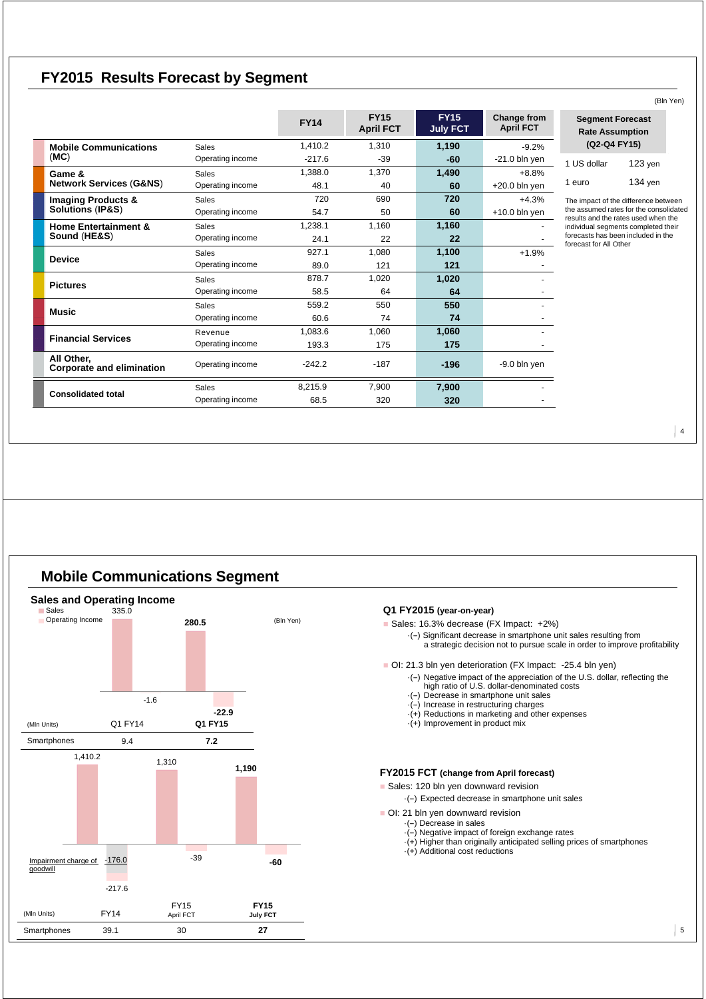### **FY2015 Results Forecast by Segment**

|                                                |                  |             | <b>FY15</b>      | <b>FY15</b>     | Change from      | Segmer                          |
|------------------------------------------------|------------------|-------------|------------------|-----------------|------------------|---------------------------------|
|                                                |                  | <b>FY14</b> | <b>April FCT</b> | <b>July FCT</b> | <b>April FCT</b> | Rate As                         |
| <b>Mobile Communications</b>                   | Sales            | 1.410.2     | 1,310            | 1,190           | $-9.2%$          | $(Q2-C)$                        |
| (MC)                                           | Operating income | $-217.6$    | $-39$            | -60             | $-21.0$ bln yen  | 1 US dollar                     |
| Game &                                         | <b>Sales</b>     | 1,388.0     | 1,370            | 1,490           | $+8.8%$          |                                 |
| <b>Network Services (G&amp;NS)</b>             | Operating income | 48.1        | 40               | 60              | $+20.0$ bln yen  | 1 euro                          |
| <b>Imaging Products &amp;</b>                  | <b>Sales</b>     | 720         | 690              | 720             | $+4.3%$          | The impact of                   |
| <b>Solutions (IP&amp;S)</b>                    | Operating income | 54.7        | 50               | 60              | $+10.0$ bln yen  | the assumed<br>results and th   |
| <b>Home Entertainment &amp;</b>                | <b>Sales</b>     | 1,238.1     | 1,160            | 1,160           |                  | individual seg                  |
| Sound (HE&S)                                   | Operating income | 24.1        | 22               | 22              |                  | forecasts has<br>forecast for A |
| <b>Device</b>                                  | <b>Sales</b>     | 927.1       | 1,080            | 1,100           | $+1.9%$          |                                 |
|                                                | Operating income | 89.0        | 121              | 121             |                  |                                 |
| <b>Pictures</b>                                | <b>Sales</b>     | 878.7       | 1,020            | 1,020           |                  |                                 |
|                                                | Operating income | 58.5        | 64               | 64              |                  |                                 |
| <b>Music</b>                                   | <b>Sales</b>     | 559.2       | 550              | 550             |                  |                                 |
|                                                | Operating income | 60.6        | 74               | 74              |                  |                                 |
| <b>Financial Services</b>                      | Revenue          | 1,083.6     | 1,060            | 1,060           |                  |                                 |
|                                                | Operating income | 193.3       | 175              | 175             |                  |                                 |
| All Other.<br><b>Corporate and elimination</b> | Operating income | $-242.2$    | $-187$           | $-196$          | $-9.0$ bln yen   |                                 |
|                                                | <b>Sales</b>     | 8.215.9     | 7,900            | 7,900           |                  |                                 |
| <b>Consolidated total</b>                      | Operating income | 68.5        | 320              | 320             |                  |                                 |

### (Bln Yen) **Segment Forecast Rate Assumption (Q2-Q4 FY15)** 123 yen

f the difference between rates for the consolidated results and the rates used when the in this securements been included in the , boom<br>Il Other

134 yen

 $\vert$  4

### **Mobile Communications Segment**

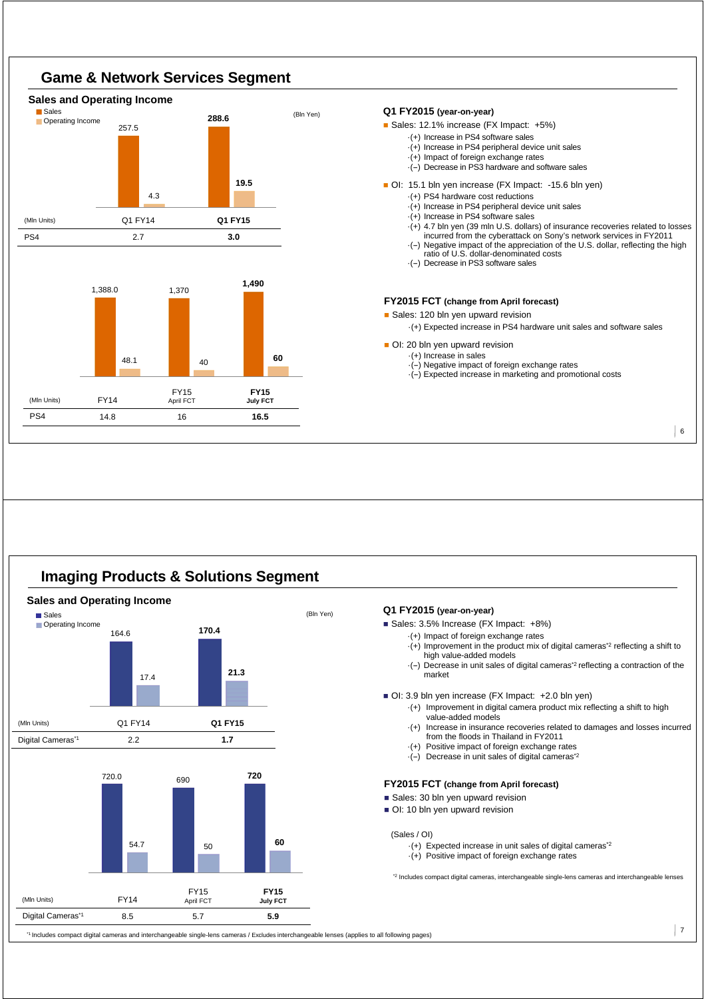

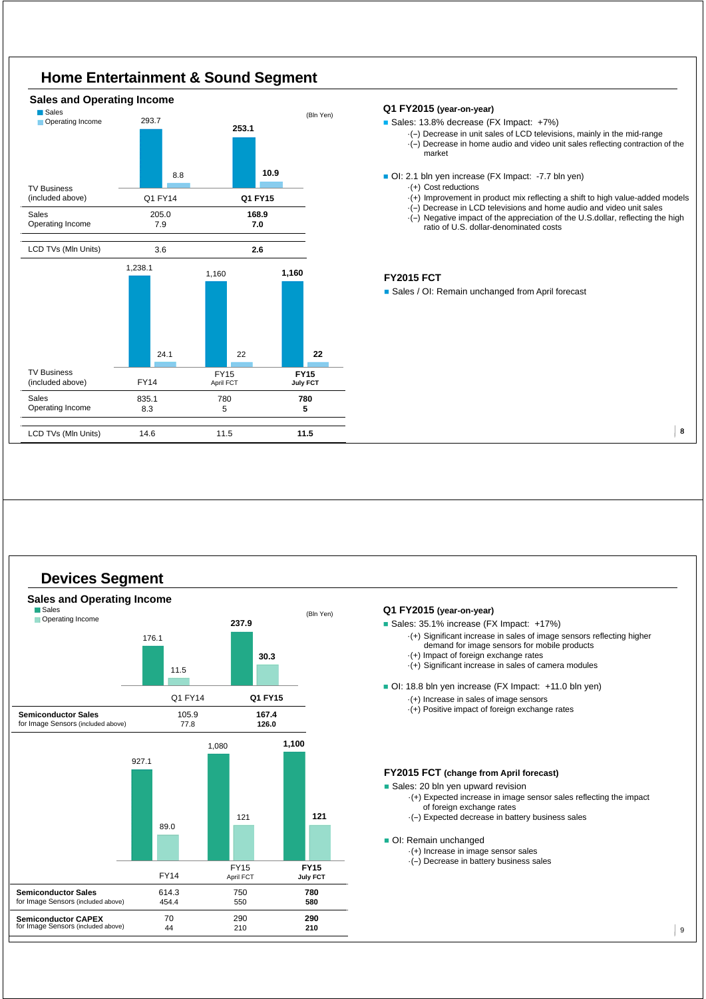

#### **Q1 FY2015 (year-on-year)**

Sales: 13.8% decrease (FX Impact: +7%)

- ·(--) Decrease in unit sales of LCD televisions, mainly in the mid-range
- ·(--) Decrease in home audio and video unit sales reflecting contraction of the market
- OI: 2.1 bln yen increase (FX Impact: -7.7 bln yen)
	- ·(+) Cost reductions
	- $\cdot$ (+) Improvement in product mix reflecting a shift to high value-added models
	- ·(--) Decrease in LCD televisions and home audio and video unit sales
	- $\cdot$ (-) Negative impact of the appreciation of the U.S.dollar, reflecting the high ratio of U.S. dollar-denominated costs

#### **FY2015 FCT**

Sales / OI: Remain unchanged from April forecast

8





#### **Q1 FY2015 (year-on-year)**

Sales: 35.1% increase (FX Impact: +17%)

- ·(+) Significant increase in sales of image sensors reflecting higher
	- demand for image sensors for mobile products
- ·(+) Impact of foreign exchange rates
- ·(+) Significant increase in sales of camera modules

OI: 18.8 bln yen increase (FX Impact: +11.0 bln yen)

- ·(+) Increase in sales of image sensors
- $\cdot$ (+) Positive impact of foreign exchange rates

#### **FY2015 FCT (change from April forecast)**

- Sales: 20 bln yen upward revision
	- ·(+) Expected increase in image sensor sales reflecting the impact of foreign exchange rates
	- ·(--) Expected decrease in battery business sales

#### OI: Remain unchanged

- ·(+) Increase in image sensor sales
	- $\cdot$ (-) Decrease in battery business sales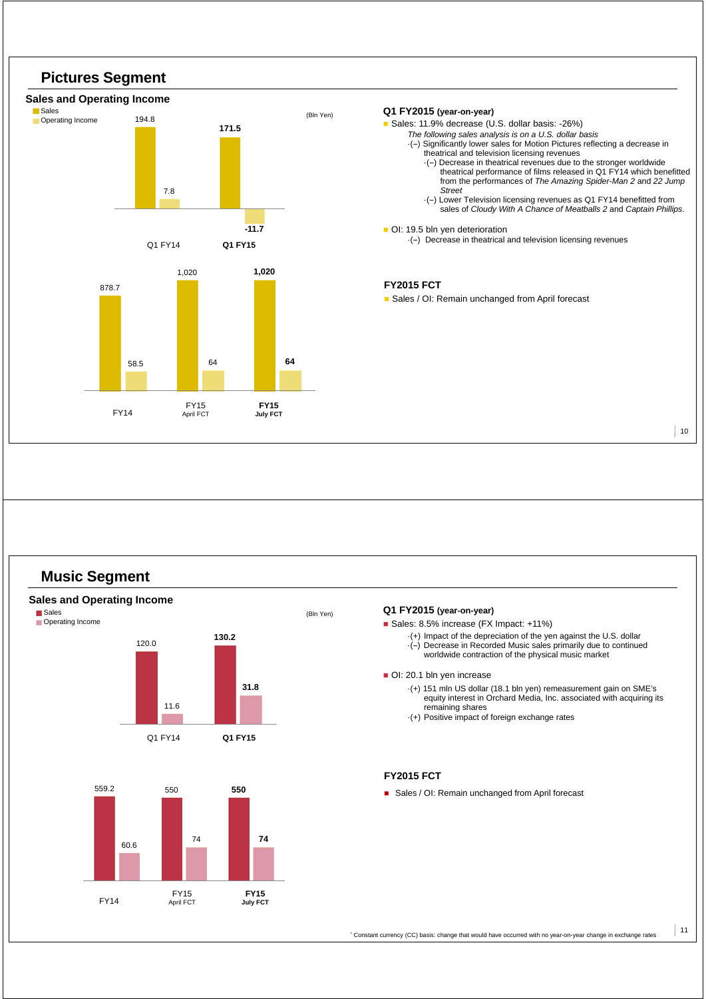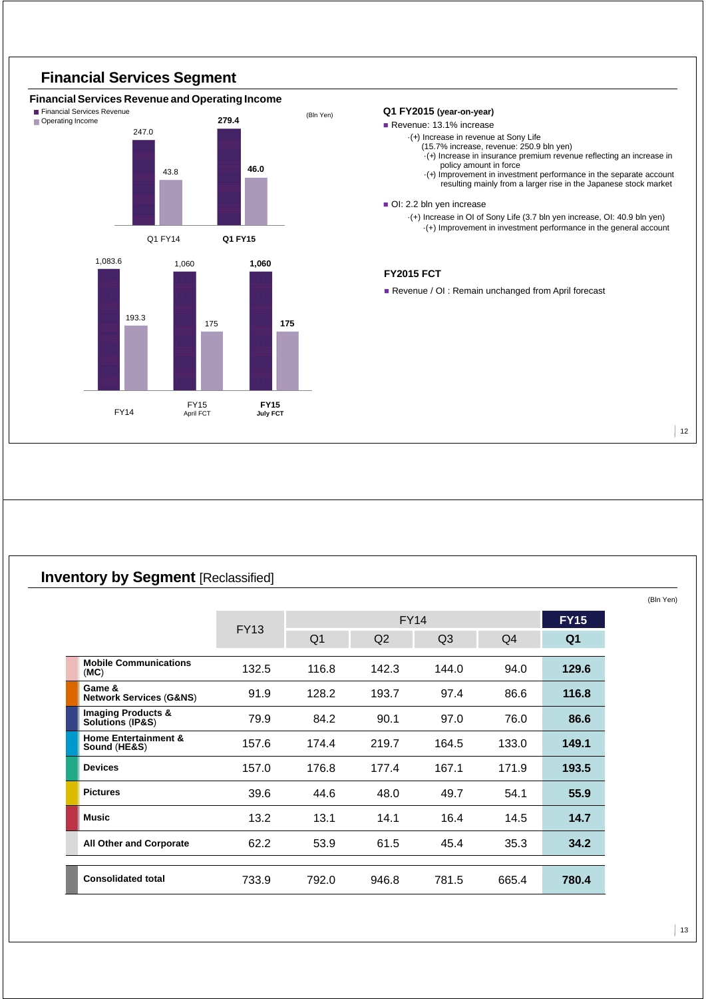

### **Inventory by Segment [Reclassified]**

|                                                   | <b>FY13</b> |                | <b>FY14</b>    |                |       | <b>FY15</b>    |
|---------------------------------------------------|-------------|----------------|----------------|----------------|-------|----------------|
|                                                   |             | Q <sub>1</sub> | Q <sub>2</sub> | Q <sub>3</sub> | Q4    | Q <sub>1</sub> |
| <b>Mobile Communications</b><br>(MC)              | 132.5       | 116.8          | 142.3          | 144.0          | 94.0  | 129.6          |
| Game &<br><b>Network Services (G&amp;NS)</b>      | 91.9        | 128.2          | 193.7          | 97.4           | 86.6  | 116.8          |
| <b>Imaging Products &amp;</b><br>Solutions (IP&S) | 79.9        | 84.2           | 90.1           | 97.0           | 76.0  | 86.6           |
| <b>Home Entertainment &amp;</b><br>Sound (HE&S)   | 157.6       | 174.4          | 219.7          | 164.5          | 133.0 | 149.1          |
| <b>Devices</b>                                    | 157.0       | 176.8          | 177.4          | 167.1          | 171.9 | 193.5          |
| <b>Pictures</b>                                   | 39.6        | 44.6           | 48.0           | 49.7           | 54.1  | 55.9           |
| <b>Music</b>                                      | 13.2        | 13.1           | 14.1           | 16.4           | 14.5  | 14.7           |
| <b>All Other and Corporate</b>                    | 62.2        | 53.9           | 61.5           | 45.4           | 35.3  | 34.2           |
| <b>Consolidated total</b>                         | 733.9       | 792.0          | 946.8          | 781.5          | 665.4 | 780.4          |

(Bln Yen)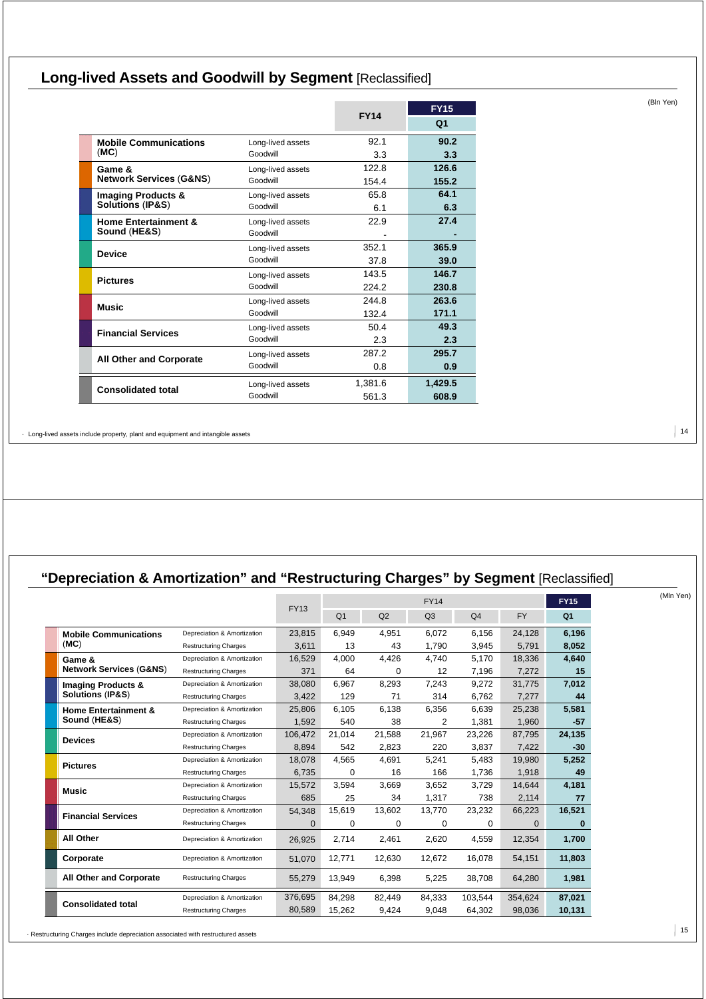# **Long-lived Assets and Goodwill by Segment** [Reclassified]

|                                                 |                   | <b>FY14</b> | <b>FY15</b> |
|-------------------------------------------------|-------------------|-------------|-------------|
|                                                 |                   |             | Q1          |
| <b>Mobile Communications</b>                    | Long-lived assets | 92.1        | 90.2        |
| (MC)                                            | Goodwill          | 3.3         | 3.3         |
| Game &                                          | Long-lived assets |             | 126.6       |
| <b>Network Services (G&amp;NS)</b>              | Goodwill          | 154.4       | 155.2       |
| <b>Imaging Products &amp;</b>                   | Long-lived assets | 65.8        | 64.1        |
| <b>Solutions (IP&amp;S)</b>                     | Goodwill          | 6.1         | 6.3         |
| <b>Home Entertainment &amp;</b><br>Sound (HE&S) | Long-lived assets | 22.9        | 27.4        |
|                                                 | Goodwill          |             |             |
| <b>Device</b>                                   | Long-lived assets | 352.1       | 365.9       |
|                                                 | Goodwill          | 37.8        | 39.0        |
| <b>Pictures</b>                                 | Long-lived assets | 143.5       | 146.7       |
|                                                 | Goodwill          | 224.2       | 230.8       |
| <b>Music</b>                                    | Long-lived assets | 244.8       | 263.6       |
|                                                 | Goodwill          | 132.4       | 171.1       |
| <b>Financial Services</b>                       | Long-lived assets | 50.4        | 49.3        |
|                                                 | Goodwill          | 2.3         | 2.3         |
| <b>All Other and Corporate</b>                  | Long-lived assets | 287.2       | 295.7       |
|                                                 | Goodwill          | 0.8         | 0.9         |
|                                                 | Long-lived assets | 1,381.6     | 1,429.5     |
| <b>Consolidated total</b>                       | Goodwill          | 561.3       | 608.9       |

· Long-lived assets include property, plant and equipment and intangible assets

# **"Depreciation & Amortization" and "Restructuring Charges" by Segment** [Reclassified]

|                                    |                              |             |                |          | <b>FY15</b>    |                |           |                |
|------------------------------------|------------------------------|-------------|----------------|----------|----------------|----------------|-----------|----------------|
|                                    |                              | <b>FY13</b> | Q <sub>1</sub> | Q2       | Q <sub>3</sub> | Q <sub>4</sub> | <b>FY</b> | Q <sub>1</sub> |
| <b>Mobile Communications</b>       | Depreciation & Amortization  | 23.815      | 6,949          | 4,951    | 6.072          | 6.156          | 24,128    | 6,196          |
| (MC)                               | <b>Restructuring Charges</b> | 3.611       | 13             | 43       | 1.790          | 3,945          | 5,791     | 8,052          |
| Game &                             | Depreciation & Amortization  | 16.529      | 4,000          | 4,426    | 4,740          | 5,170          | 18,336    | 4,640          |
| <b>Network Services (G&amp;NS)</b> | <b>Restructuring Charges</b> | 371         | 64             | $\Omega$ | 12             | 7.196          | 7.272     | 15             |
| <b>Imaging Products &amp;</b>      | Depreciation & Amortization  | 38.080      | 6,967          | 8,293    | 7,243          | 9.272          | 31,775    | 7,012          |
| Solutions (IP&S)                   | <b>Restructuring Charges</b> | 3,422       | 129            | 71       | 314            | 6.762          | 7,277     | 44             |
| <b>Home Entertainment &amp;</b>    | Depreciation & Amortization  | 25.806      | 6,105          | 6,138    | 6,356          | 6.639          | 25,238    | 5,581          |
| Sound (HE&S)                       | <b>Restructuring Charges</b> | 1.592       | 540            | 38       | 2              | 1.381          | 1.960     | -57            |
| <b>Devices</b>                     | Depreciation & Amortization  | 106,472     | 21,014         | 21,588   | 21.967         | 23,226         | 87,795    | 24,135         |
|                                    | <b>Restructuring Charges</b> | 8,894       | 542            | 2,823    | 220            | 3,837          | 7,422     | $-30$          |
| <b>Pictures</b>                    | Depreciation & Amortization  | 18.078      | 4.565          | 4.691    | 5.241          | 5.483          | 19.980    | 5,252          |
|                                    | <b>Restructuring Charges</b> | 6.735       | 0              | 16       | 166            | 1.736          | 1,918     | 49             |
| <b>Music</b>                       | Depreciation & Amortization  | 15.572      | 3,594          | 3,669    | 3,652          | 3.729          | 14,644    | 4,181          |
|                                    | <b>Restructuring Charges</b> | 685         | 25             | 34       | 1,317          | 738            | 2,114     | 77             |
| <b>Financial Services</b>          | Depreciation & Amortization  | 54,348      | 15,619         | 13,602   | 13,770         | 23,232         | 66,223    | 16,521         |
|                                    | <b>Restructuring Charges</b> | 0           | 0              | 0        | 0              | 0              | $\Omega$  | 0              |
| All Other                          | Depreciation & Amortization  | 26,925      | 2,714          | 2,461    | 2,620          | 4,559          | 12,354    | 1,700          |
| Corporate                          | Depreciation & Amortization  | 51,070      | 12,771         | 12,630   | 12,672         | 16,078         | 54,151    | 11,803         |
| All Other and Corporate            | <b>Restructuring Charges</b> | 55,279      | 13.949         | 6,398    | 5,225          | 38,708         | 64,280    | 1,981          |
|                                    | Depreciation & Amortization  | 376,695     | 84,298         | 82,449   | 84,333         | 103,544        | 354,624   | 87,021         |
| <b>Consolidated total</b>          | <b>Restructuring Charges</b> | 80,589      | 15.262         | 9,424    | 9.048          | 64.302         | 98.036    | 10,131         |

<sup>15</sup> · Restructuring Charges include depreciation associated with restructured assets

 $\vert$  14

(Mln Yen)

(Bln Yen)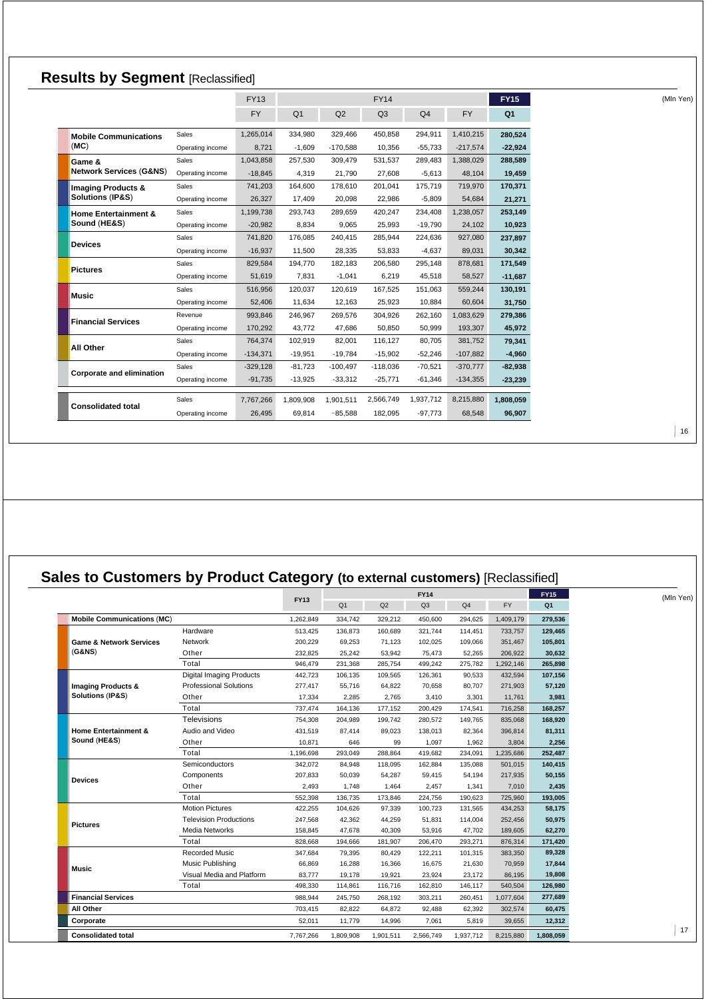| <b>Results by Segment [Reclassified]</b> |                  |             |                |            |                |                |            |                |  |
|------------------------------------------|------------------|-------------|----------------|------------|----------------|----------------|------------|----------------|--|
|                                          |                  | <b>FY13</b> |                |            | <b>FY14</b>    |                |            | <b>FY15</b>    |  |
|                                          |                  | <b>FY</b>   | Q <sub>1</sub> | Q2         | Q <sub>3</sub> | Q <sub>4</sub> | <b>FY</b>  | Q <sub>1</sub> |  |
| <b>Mobile Communications</b>             | Sales            | 1,265,014   | 334,980        | 329,466    | 450.858        | 294,911        | 1,410,215  | 280,524        |  |
| (MC)                                     | Operating income | 8,721       | $-1,609$       | $-170.588$ | 10.356         | $-55,733$      | $-217,574$ | $-22,924$      |  |
| Game &                                   | Sales            | 1,043,858   | 257,530        | 309,479    | 531,537        | 289,483        | 1,388,029  | 288,589        |  |
| <b>Network Services (G&amp;NS)</b>       | Operating income | $-18.845$   | 4,319          | 21,790     | 27,608         | $-5,613$       | 48.104     | 19,459         |  |
| <b>Imaging Products &amp;</b>            | Sales            | 741,203     | 164,600        | 178,610    | 201,041        | 175,719        | 719,970    | 170,371        |  |
| Solutions (IP&S)                         | Operating income | 26.327      | 17,409         | 20,098     | 22,986         | $-5,809$       | 54.684     | 21,271         |  |
| <b>Home Entertainment &amp;</b>          | Sales            | 1,199,738   | 293,743        | 289,659    | 420,247        | 234,408        | 1,238,057  | 253,149        |  |
| Sound (HE&S)                             | Operating income | $-20,982$   | 8,834          | 9,065      | 25,993         | $-19,790$      | 24,102     | 10,923         |  |
|                                          | Sales            | 741,820     | 176,085        | 240,415    | 285,944        | 224,636        | 927,080    | 237,897        |  |
| <b>Devices</b>                           | Operating income | $-16.937$   | 11,500         | 28,335     | 53,833         | $-4,637$       | 89,031     | 30,342         |  |
|                                          | Sales            | 829,584     | 194,770        | 182,183    | 206,580        | 295,148        | 878,681    | 171,549        |  |
| <b>Pictures</b>                          | Operating income | 51,619      | 7,831          | $-1,041$   | 6,219          | 45,518         | 58,527     | $-11,687$      |  |
|                                          | Sales            | 516,956     | 120,037        | 120,619    | 167,525        | 151,063        | 559,244    | 130,191        |  |
| <b>Music</b>                             | Operating income | 52,406      | 11.634         | 12,163     | 25,923         | 10,884         | 60,604     | 31,750         |  |
|                                          | Revenue          | 993,846     | 246,967        | 269,576    | 304,926        | 262,160        | 1,083,629  | 279,386        |  |
| <b>Financial Services</b>                | Operating income | 170.292     | 43.772         | 47,686     | 50,850         | 50,999         | 193.307    | 45,972         |  |
|                                          | Sales            | 764.374     | 102.919        | 82.001     | 116.127        | 80,705         | 381.752    | 79,341         |  |
| All Other                                | Operating income | $-134,371$  | $-19,951$      | $-19.784$  | $-15,902$      | $-52,246$      | $-107.882$ | $-4,960$       |  |
|                                          | Sales            | $-329.128$  | $-81,723$      | $-100,497$ | $-118,036$     | $-70,521$      | $-370.777$ | $-82,938$      |  |
| <b>Corporate and elimination</b>         | Operating income | $-91,735$   | $-13,925$      | $-33,312$  | $-25,771$      | $-61,346$      | $-134,355$ | $-23,239$      |  |
|                                          | Sales            | 7,767,266   | 1,809,908      | 1,901,511  | 2,566,749      | 1,937,712      | 8,215,880  | 1,808,059      |  |
| <b>Consolidated total</b>                | Operating income | 26,495      | 69,814         | $-85,588$  | 182,095        | $-97.773$      | 68,548     | 96,907         |  |
|                                          |                  |             |                |            |                |                |            |                |  |

# **Sales to Customers by Product Category (to external customers)** [Reclassified]

|                                    |                                 | <b>FY13</b> | <b>FY14</b>    |           |                |                | <b>FY15</b> | (Mln Yen)      |    |
|------------------------------------|---------------------------------|-------------|----------------|-----------|----------------|----------------|-------------|----------------|----|
|                                    |                                 |             | Q <sub>1</sub> | Q2        | Q <sub>3</sub> | Q <sub>4</sub> | <b>FY</b>   | Q <sub>1</sub> |    |
| <b>Mobile Communications (MC)</b>  |                                 | 1,262,849   | 334,742        | 329,212   | 450.600        | 294,625        | 1,409,179   | 279,536        |    |
|                                    | Hardware                        | 513,425     | 136,873        | 160,689   | 321,744        | 114,451        | 733,757     | 129,465        |    |
| <b>Game &amp; Network Services</b> | Network                         | 200.229     | 69,253         | 71,123    | 102.025        | 109.066        | 351,467     | 105,801        |    |
| (G&NS)                             | Other                           | 232,825     | 25,242         | 53,942    | 75.473         | 52,265         | 206.922     | 30.632         |    |
|                                    | Total                           | 946.479     | 231,368        | 285,754   | 499.242        | 275,782        | 1,292,146   | 265,898        |    |
|                                    | <b>Digital Imaging Products</b> | 442,723     | 106,135        | 109,565   | 126,361        | 90,533         | 432,594     | 107,156        |    |
| <b>Imaging Products &amp;</b>      | <b>Professional Solutions</b>   | 277,417     | 55,716         | 64,822    | 70,658         | 80,707         | 271,903     | 57,120         |    |
| Solutions (IP&S)                   | Other                           | 17,334      | 2,285          | 2,765     | 3,410          | 3,301          | 11,761      | 3,981          |    |
|                                    | Total                           | 737,474     | 164,136        | 177,152   | 200,429        | 174,541        | 716,258     | 168,257        |    |
|                                    | Televisions                     | 754,308     | 204,989        | 199,742   | 280,572        | 149,765        | 835,068     | 168,920        |    |
| <b>Home Entertainment &amp;</b>    | Audio and Video                 | 431,519     | 87,414         | 89,023    | 138,013        | 82,364         | 396,814     | 81,311         |    |
| Sound (HE&S)                       | Other                           | 10,871      | 646            | 99        | 1,097          | 1,962          | 3,804       | 2,256          |    |
|                                    | Total                           | 1,196,698   | 293,049        | 288,864   | 419,682        | 234,091        | 1,235,686   | 252,487        |    |
|                                    | Semiconductors                  | 342,072     | 84,948         | 118,095   | 162,884        | 135,088        | 501,015     | 140,415        |    |
| <b>Devices</b>                     | Components                      | 207,833     | 50,039         | 54,287    | 59,415         | 54,194         | 217,935     | 50,155         |    |
|                                    | Other                           | 2,493       | 1.748          | 1,464     | 2,457          | 1,341          | 7,010       | 2,435          |    |
|                                    | Total                           | 552,398     | 136,735        | 173,846   | 224,756        | 190,623        | 725,960     | 193,005        |    |
|                                    | <b>Motion Pictures</b>          | 422,255     | 104,626        | 97,339    | 100,723        | 131,565        | 434,253     | 58,175         |    |
| <b>Pictures</b>                    | <b>Television Productions</b>   | 247,568     | 42,362         | 44,259    | 51,831         | 114,004        | 252,456     | 50,975         |    |
|                                    | <b>Media Networks</b>           | 158,845     | 47.678         | 40,309    | 53.916         | 47,702         | 189,605     | 62,270         |    |
|                                    | Total                           | 828.668     | 194,666        | 181,907   | 206.470        | 293,271        | 876.314     | 171,420        |    |
|                                    | <b>Recorded Music</b>           | 347,684     | 79,395         | 80,429    | 122,211        | 101,315        | 383,350     | 89,328         |    |
| <b>Music</b>                       | Music Publishing                | 66,869      | 16,288         | 16,366    | 16,675         | 21,630         | 70,959      | 17,844         |    |
|                                    | Visual Media and Platform       | 83,777      | 19,178         | 19,921    | 23,924         | 23,172         | 86,195      | 19,808         |    |
|                                    | Total                           | 498,330     | 114,861        | 116,716   | 162,810        | 146,117        | 540,504     | 126,980        |    |
| <b>Financial Services</b>          |                                 | 988,944     | 245,750        | 268,192   | 303,211        | 260,451        | 1,077,604   | 277,689        |    |
| All Other                          |                                 | 703,415     | 82,822         | 64,872    | 92,488         | 62,392         | 302,574     | 60,475         |    |
| Corporate                          |                                 | 52,011      | 11,779         | 14,996    | 7,061          | 5,819          | 39,655      | 12,312         |    |
| <b>Consolidated total</b>          |                                 | 7,767,266   | 1,809,908      | 1,901,511 | 2,566,749      | 1,937,712      | 8,215,880   | 1,808,059      | 17 |

 $|16$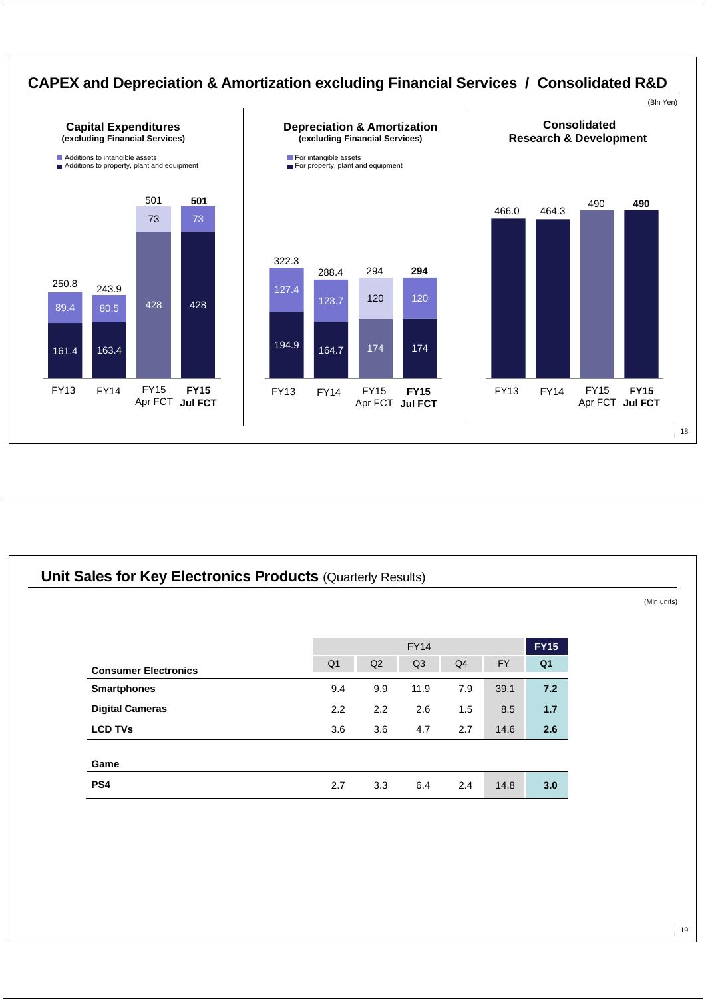

### **Unit Sales for Key Electronics Products (Quarterly Results)**

|                             |                | <b>FY14</b> |                |                |           |                |  |  |
|-----------------------------|----------------|-------------|----------------|----------------|-----------|----------------|--|--|
| <b>Consumer Electronics</b> | Q <sub>1</sub> | Q2          | Q <sub>3</sub> | Q <sub>4</sub> | <b>FY</b> | Q <sub>1</sub> |  |  |
| <b>Smartphones</b>          | 9.4            | 9.9         | 11.9           | 7.9            | 39.1      | 7.2            |  |  |
| <b>Digital Cameras</b>      | 2.2            | 2.2         | 2.6            | 1.5            | 8.5       | 1.7            |  |  |
| <b>LCD TVs</b>              | 3.6            | 3.6         | 4.7            | 2.7            | 14.6      | 2.6            |  |  |
| Game                        |                |             |                |                |           |                |  |  |
| PS <sub>4</sub>             | 2.7            | 3.3         | 6.4            | 2.4            | 14.8      | 3.0            |  |  |
|                             |                |             |                |                |           |                |  |  |

 $|19$ 

(Mln units)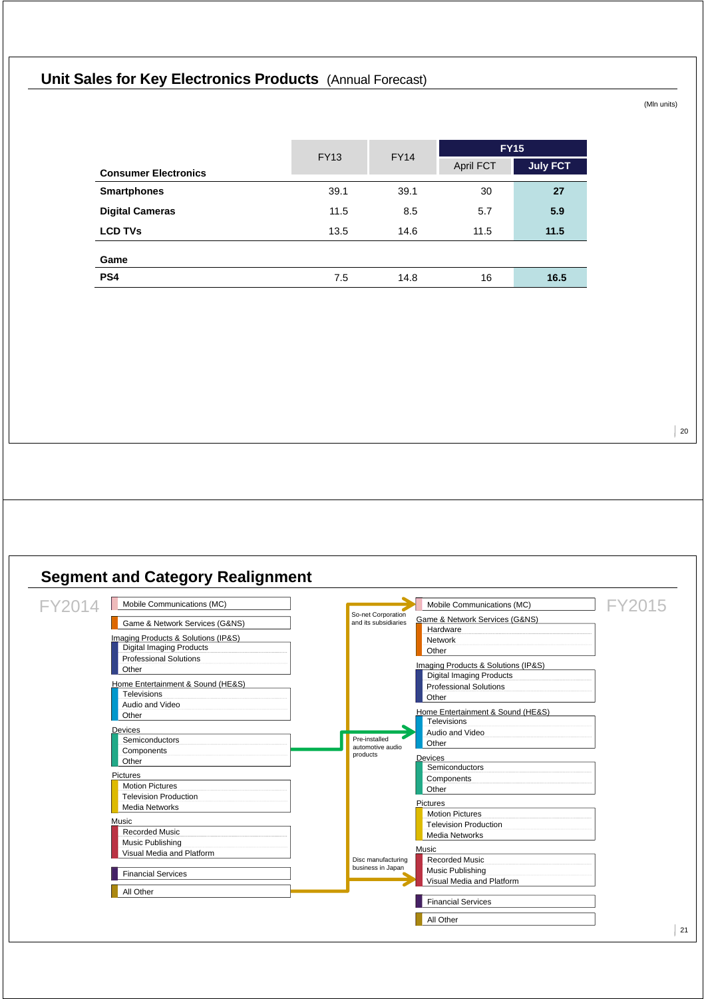# **Unit Sales for Key Electronics Products** (Annual Forecast)

(Mln units)

|                             | <b>FY13</b> | <b>FY14</b> | <b>FY15</b>      |                 |
|-----------------------------|-------------|-------------|------------------|-----------------|
| <b>Consumer Electronics</b> |             |             | <b>April FCT</b> | <b>July FCT</b> |
| <b>Smartphones</b>          | 39.1        | 39.1        | 30               | 27              |
| <b>Digital Cameras</b>      | 11.5        | 8.5         | 5.7              | 5.9             |
| <b>LCD TVs</b>              | 13.5        | 14.6        | 11.5             | 11.5            |
| Game                        |             |             |                  |                 |
| PS <sub>4</sub>             | 7.5         | 14.8        | 16               | 16.5            |

 $\vert$  20

# **Segment and Category Realignment**

| FY2014 | Mobile Communications (MC)             |                                            | Mobile Communications (MC)          | FY2015 |
|--------|----------------------------------------|--------------------------------------------|-------------------------------------|--------|
|        | Game & Network Services (G&NS)         | So-net Corporation<br>and its subsidiaries | Game & Network Services (G&NS)      |        |
|        |                                        |                                            | Hardware                            |        |
|        | Imaging Products & Solutions (IP&S)    |                                            | Network                             |        |
|        | <b>Digital Imaging Products</b>        |                                            | Other                               |        |
|        | <b>Professional Solutions</b><br>Other |                                            | Imaging Products & Solutions (IP&S) |        |
|        |                                        |                                            | <b>Digital Imaging Products</b>     |        |
|        | Home Entertainment & Sound (HE&S)      |                                            | <b>Professional Solutions</b>       |        |
|        | <b>Televisions</b>                     |                                            | Other                               |        |
|        | Audio and Video                        |                                            | Home Entertainment & Sound (HE&S)   |        |
|        | Other                                  |                                            | <b>Televisions</b>                  |        |
|        | Devices                                |                                            | Audio and Video                     |        |
|        | Semiconductors                         | Pre-installed                              | Other                               |        |
|        | Components                             | automotive audio<br>products               |                                     |        |
|        | Other                                  |                                            | <b>Devices</b>                      |        |
|        | Pictures                               |                                            | Semiconductors                      |        |
|        | <b>Motion Pictures</b>                 |                                            | Components                          |        |
|        | <b>Television Production</b>           |                                            | Other                               |        |
|        | Media Networks                         |                                            | Pictures                            |        |
|        |                                        |                                            | <b>Motion Pictures</b>              |        |
|        | Music                                  |                                            | <b>Television Production</b>        |        |
|        | <b>Recorded Music</b>                  |                                            | <b>Media Networks</b>               |        |
|        | Music Publishing                       |                                            | Music                               |        |
|        | Visual Media and Platform              | Disc manufacturing                         | <b>Recorded Music</b>               |        |
|        |                                        | business in Japan                          | Music Publishing                    |        |
|        | <b>Financial Services</b>              |                                            | Visual Media and Platform           |        |
|        | All Other                              |                                            |                                     |        |
|        |                                        |                                            | <b>Financial Services</b>           |        |
|        |                                        |                                            | All Other                           |        |